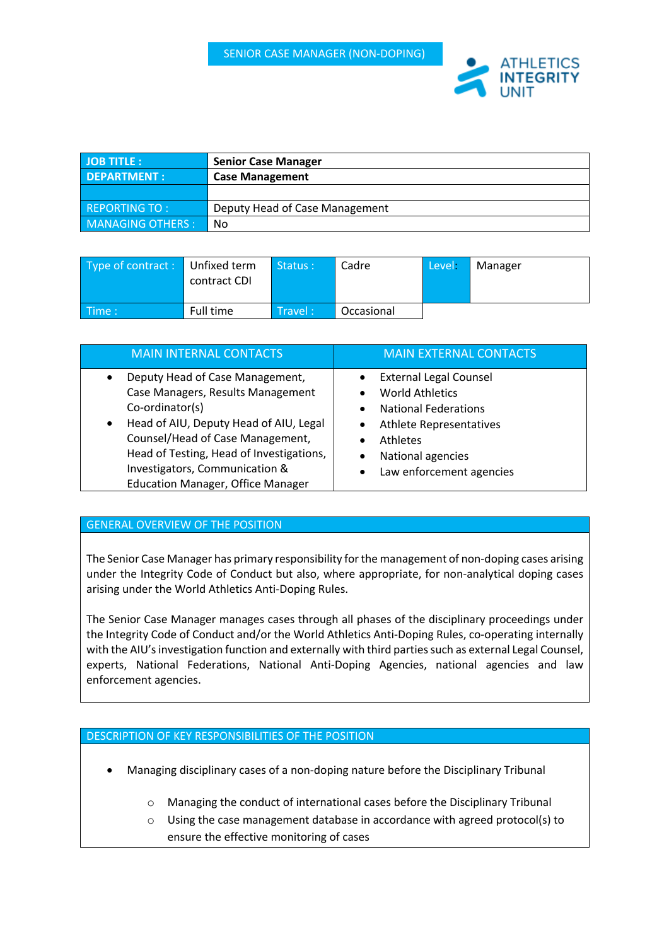

| <b>JOB TITLE:</b>       | <b>Senior Case Manager</b>     |  |
|-------------------------|--------------------------------|--|
| <b>DEPARTMENT:</b>      | <b>Case Management</b>         |  |
|                         |                                |  |
| REPORTING TO:           | Deputy Head of Case Management |  |
| <b>MANAGING OTHERS:</b> | No                             |  |

| Type of contract : Unfixed term | contract CDI | Status: | Cadre      | Level - | Manager |
|---------------------------------|--------------|---------|------------|---------|---------|
| $\blacksquare$ Time :           | Full time    | Travel: | Occasional |         |         |

| <b>MAIN INTERNAL CONTACTS</b>                                                                                                                                                                                                                                                                                             | <b>MAIN EXTERNAL CONTACTS</b>                                                                                                                                                                |
|---------------------------------------------------------------------------------------------------------------------------------------------------------------------------------------------------------------------------------------------------------------------------------------------------------------------------|----------------------------------------------------------------------------------------------------------------------------------------------------------------------------------------------|
| Deputy Head of Case Management,<br>$\bullet$<br>Case Managers, Results Management<br>Co-ordinator(s)<br>Head of AIU, Deputy Head of AIU, Legal<br>$\bullet$<br>Counsel/Head of Case Management,<br>Head of Testing, Head of Investigations,<br>Investigators, Communication &<br><b>Education Manager, Office Manager</b> | <b>External Legal Counsel</b><br><b>World Athletics</b><br><b>National Federations</b><br><b>Athlete Representatives</b><br><b>Athletes</b><br>National agencies<br>Law enforcement agencies |

# GENERAL OVERVIEW OF THE POSITION

The Senior Case Manager has primary responsibility for the management of non-doping cases arising under the Integrity Code of Conduct but also, where appropriate, for non-analytical doping cases arising under the World Athletics Anti-Doping Rules.

The Senior Case Manager manages cases through all phases of the disciplinary proceedings under the Integrity Code of Conduct and/or the World Athletics Anti-Doping Rules, co-operating internally with the AIU's investigation function and externally with third parties such as external Legal Counsel, experts, National Federations, National Anti-Doping Agencies, national agencies and law enforcement agencies.

# DESCRIPTION OF KEY RESPONSIBILITIES OF THE POSITION

- Managing disciplinary cases of a non-doping nature before the Disciplinary Tribunal
	- o Managing the conduct of international cases before the Disciplinary Tribunal
	- o Using the case management database in accordance with agreed protocol(s) to ensure the effective monitoring of cases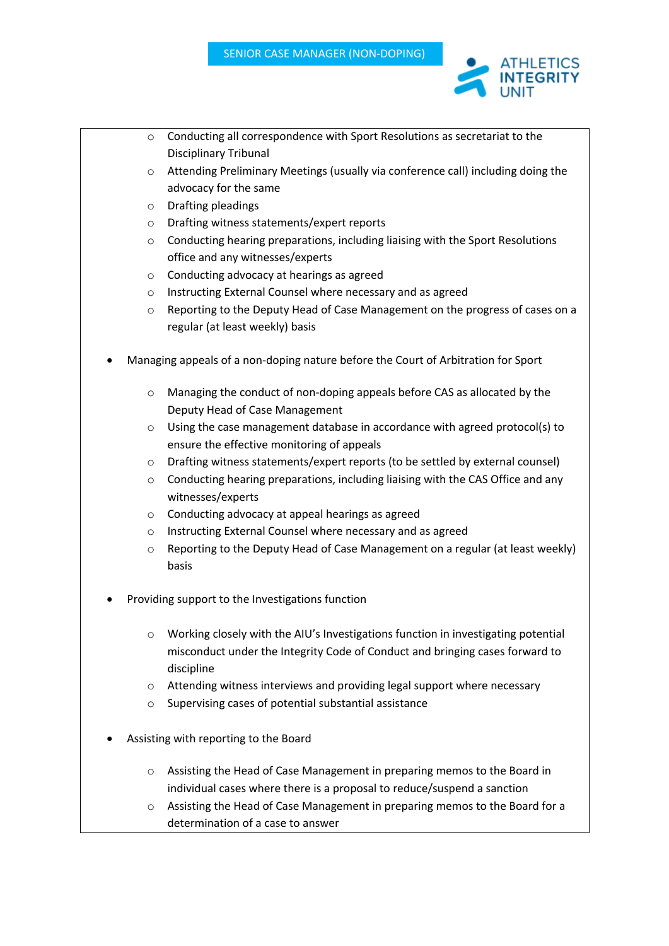

- o Conducting all correspondence with Sport Resolutions as secretariat to the Disciplinary Tribunal
- $\circ$  Attending Preliminary Meetings (usually via conference call) including doing the advocacy for the same
- o Drafting pleadings
- o Drafting witness statements/expert reports
- o Conducting hearing preparations, including liaising with the Sport Resolutions office and any witnesses/experts
- o Conducting advocacy at hearings as agreed
- o Instructing External Counsel where necessary and as agreed
- $\circ$  Reporting to the Deputy Head of Case Management on the progress of cases on a regular (at least weekly) basis
- Managing appeals of a non-doping nature before the Court of Arbitration for Sport
	- o Managing the conduct of non-doping appeals before CAS as allocated by the Deputy Head of Case Management
	- o Using the case management database in accordance with agreed protocol(s) to ensure the effective monitoring of appeals
	- o Drafting witness statements/expert reports (to be settled by external counsel)
	- o Conducting hearing preparations, including liaising with the CAS Office and any witnesses/experts
	- o Conducting advocacy at appeal hearings as agreed
	- o Instructing External Counsel where necessary and as agreed
	- $\circ$  Reporting to the Deputy Head of Case Management on a regular (at least weekly) basis
- Providing support to the Investigations function
	- $\circ$  Working closely with the AIU's Investigations function in investigating potential misconduct under the Integrity Code of Conduct and bringing cases forward to discipline
	- o Attending witness interviews and providing legal support where necessary
	- o Supervising cases of potential substantial assistance
- Assisting with reporting to the Board
	- o Assisting the Head of Case Management in preparing memos to the Board in individual cases where there is a proposal to reduce/suspend a sanction
	- o Assisting the Head of Case Management in preparing memos to the Board for a determination of a case to answer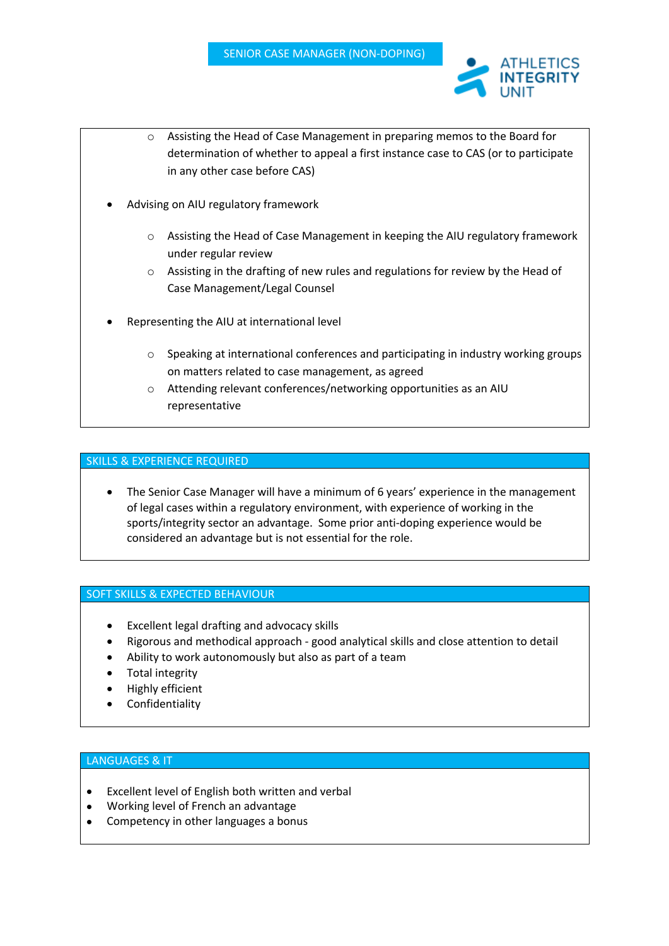

INTEGRITY

- Advising on AIU regulatory framework
	- o Assisting the Head of Case Management in keeping the AIU regulatory framework under regular review
	- o Assisting in the drafting of new rules and regulations for review by the Head of Case Management/Legal Counsel
- Representing the AIU at international level
	- $\circ$  Speaking at international conferences and participating in industry working groups on matters related to case management, as agreed
	- o Attending relevant conferences/networking opportunities as an AIU representative

## SKILLS & EXPERIENCE REQUIRED

• The Senior Case Manager will have a minimum of 6 years' experience in the management of legal cases within a regulatory environment, with experience of working in the sports/integrity sector an advantage. Some prior anti-doping experience would be considered an advantage but is not essential for the role.

#### SOFT SKILLS & EXPECTED BEHAVIOUR

- Excellent legal drafting and advocacy skills
- Rigorous and methodical approach good analytical skills and close attention to detail
- Ability to work autonomously but also as part of a team
- Total integrity
- Highly efficient
- Confidentiality

# LANGUAGES & IT

- Excellent level of English both written and verbal
- Working level of French an advantage
- Competency in other languages a bonus